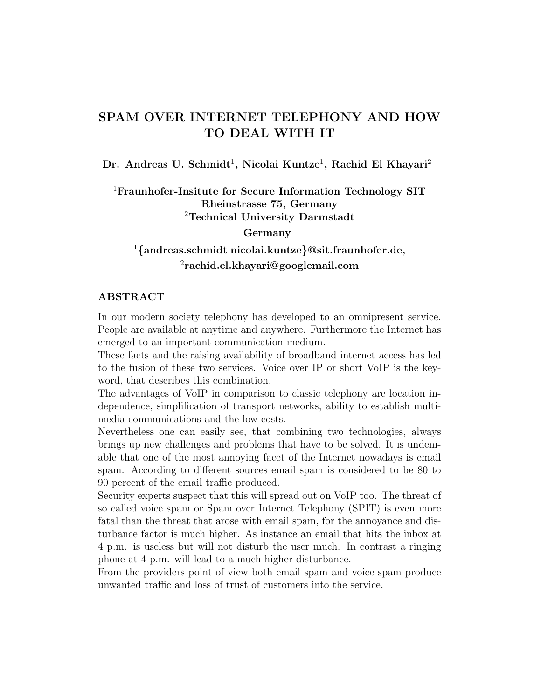# SPAM OVER INTERNET TELEPHONY AND HOW TO DEAL WITH IT

Dr. Andreas U. Schmidt<sup>1</sup>, Nicolai Kuntze<sup>1</sup>, Rachid El Khayari<sup>2</sup>

<sup>1</sup>Fraunhofer-Insitute for Secure Information Technology SIT Rheinstrasse 75, Germany <sup>2</sup>Technical University Darmstadt

Germany

# <sup>1</sup>{andreas.schmidt|nicolai.kuntze}@sit.fraunhofer.de,  $^{2}$ rachid.el.khayari@googlemail.com

# ABSTRACT

In our modern society telephony has developed to an omnipresent service. People are available at anytime and anywhere. Furthermore the Internet has emerged to an important communication medium.

These facts and the raising availability of broadband internet access has led to the fusion of these two services. Voice over IP or short VoIP is the keyword, that describes this combination.

The advantages of VoIP in comparison to classic telephony are location independence, simplification of transport networks, ability to establish multimedia communications and the low costs.

Nevertheless one can easily see, that combining two technologies, always brings up new challenges and problems that have to be solved. It is undeniable that one of the most annoying facet of the Internet nowadays is email spam. According to different sources email spam is considered to be 80 to 90 percent of the email traffic produced.

Security experts suspect that this will spread out on VoIP too. The threat of so called voice spam or Spam over Internet Telephony (SPIT) is even more fatal than the threat that arose with email spam, for the annoyance and disturbance factor is much higher. As instance an email that hits the inbox at 4 p.m. is useless but will not disturb the user much. In contrast a ringing phone at 4 p.m. will lead to a much higher disturbance.

From the providers point of view both email spam and voice spam produce unwanted traffic and loss of trust of customers into the service.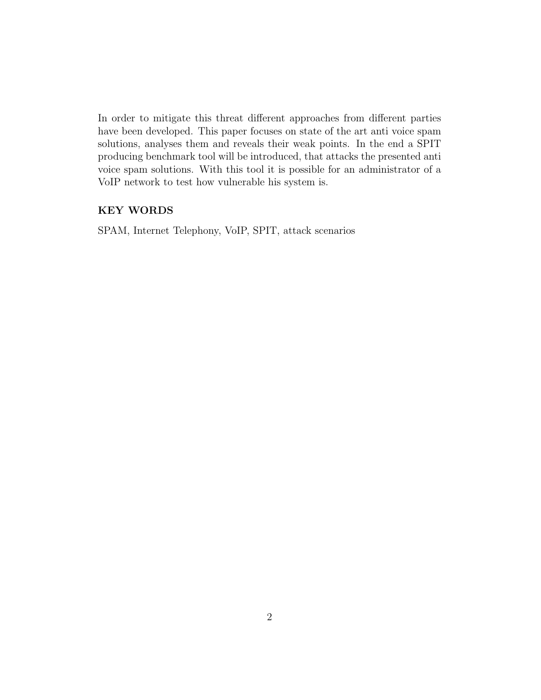In order to mitigate this threat different approaches from different parties have been developed. This paper focuses on state of the art anti voice spam solutions, analyses them and reveals their weak points. In the end a SPIT producing benchmark tool will be introduced, that attacks the presented anti voice spam solutions. With this tool it is possible for an administrator of a VoIP network to test how vulnerable his system is.

# KEY WORDS

SPAM, Internet Telephony, VoIP, SPIT, attack scenarios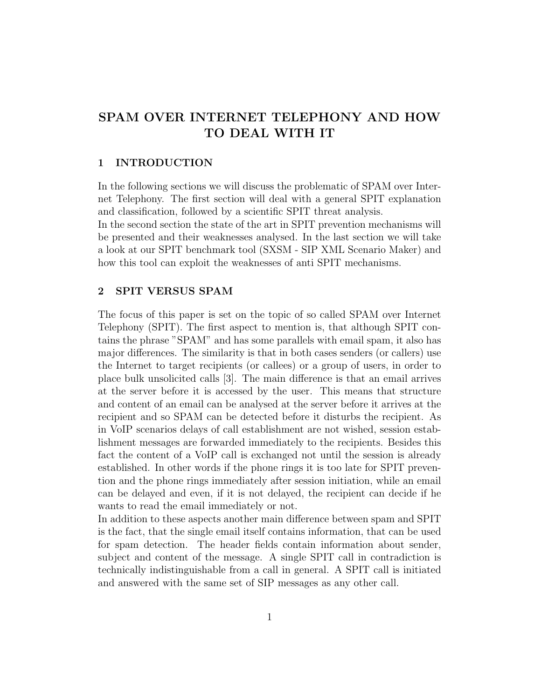# SPAM OVER INTERNET TELEPHONY AND HOW TO DEAL WITH IT

## 1 INTRODUCTION

In the following sections we will discuss the problematic of SPAM over Internet Telephony. The first section will deal with a general SPIT explanation and classification, followed by a scientific SPIT threat analysis.

In the second section the state of the art in SPIT prevention mechanisms will be presented and their weaknesses analysed. In the last section we will take a look at our SPIT benchmark tool (SXSM - SIP XML Scenario Maker) and how this tool can exploit the weaknesses of anti SPIT mechanisms.

# 2 SPIT VERSUS SPAM

The focus of this paper is set on the topic of so called SPAM over Internet Telephony (SPIT). The first aspect to mention is, that although SPIT contains the phrase "SPAM" and has some parallels with email spam, it also has major differences. The similarity is that in both cases senders (or callers) use the Internet to target recipients (or callees) or a group of users, in order to place bulk unsolicited calls [3]. The main difference is that an email arrives at the server before it is accessed by the user. This means that structure and content of an email can be analysed at the server before it arrives at the recipient and so SPAM can be detected before it disturbs the recipient. As in VoIP scenarios delays of call establishment are not wished, session establishment messages are forwarded immediately to the recipients. Besides this fact the content of a VoIP call is exchanged not until the session is already established. In other words if the phone rings it is too late for SPIT prevention and the phone rings immediately after session initiation, while an email can be delayed and even, if it is not delayed, the recipient can decide if he wants to read the email immediately or not.

In addition to these aspects another main difference between spam and SPIT is the fact, that the single email itself contains information, that can be used for spam detection. The header fields contain information about sender, subject and content of the message. A single SPIT call in contradiction is technically indistinguishable from a call in general. A SPIT call is initiated and answered with the same set of SIP messages as any other call.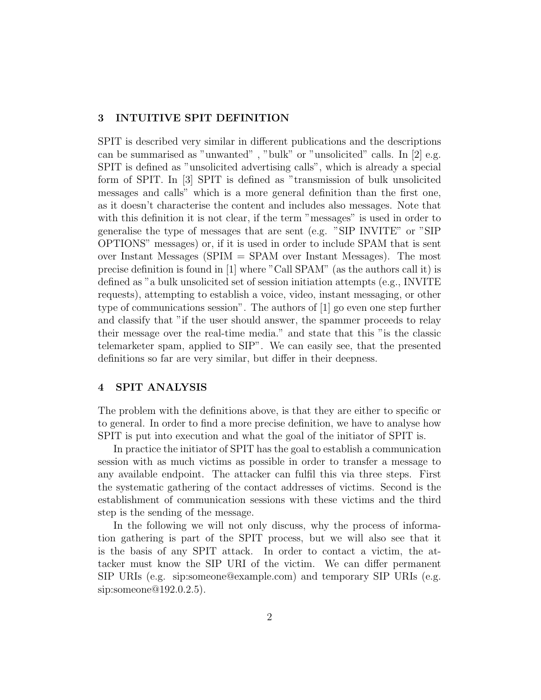## 3 INTUITIVE SPIT DEFINITION

SPIT is described very similar in different publications and the descriptions can be summarised as "unwanted" , "bulk" or "unsolicited" calls. In [2] e.g. SPIT is defined as "unsolicited advertising calls", which is already a special form of SPIT. In [3] SPIT is defined as "transmission of bulk unsolicited messages and calls" which is a more general definition than the first one, as it doesn't characterise the content and includes also messages. Note that with this definition it is not clear, if the term "messages" is used in order to generalise the type of messages that are sent (e.g. "SIP INVITE" or "SIP OPTIONS" messages) or, if it is used in order to include SPAM that is sent over Instant Messages (SPIM = SPAM over Instant Messages). The most precise definition is found in [1] where "Call SPAM" (as the authors call it) is defined as "a bulk unsolicited set of session initiation attempts (e.g., INVITE requests), attempting to establish a voice, video, instant messaging, or other type of communications session". The authors of [1] go even one step further and classify that "if the user should answer, the spammer proceeds to relay their message over the real-time media." and state that this "is the classic telemarketer spam, applied to SIP". We can easily see, that the presented definitions so far are very similar, but differ in their deepness.

## 4 SPIT ANALYSIS

The problem with the definitions above, is that they are either to specific or to general. In order to find a more precise definition, we have to analyse how SPIT is put into execution and what the goal of the initiator of SPIT is.

In practice the initiator of SPIT has the goal to establish a communication session with as much victims as possible in order to transfer a message to any available endpoint. The attacker can fulfil this via three steps. First the systematic gathering of the contact addresses of victims. Second is the establishment of communication sessions with these victims and the third step is the sending of the message.

In the following we will not only discuss, why the process of information gathering is part of the SPIT process, but we will also see that it is the basis of any SPIT attack. In order to contact a victim, the attacker must know the SIP URI of the victim. We can differ permanent SIP URIs (e.g. sip:someone@example.com) and temporary SIP URIs (e.g. sip:someone@192.0.2.5).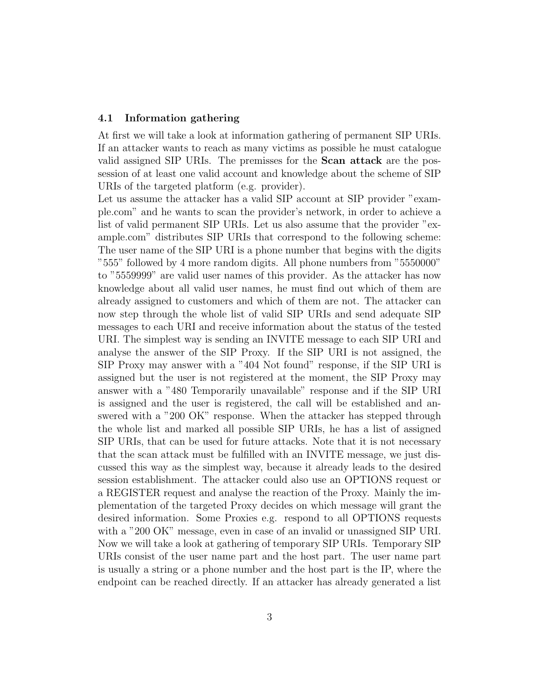#### 4.1 Information gathering

At first we will take a look at information gathering of permanent SIP URIs. If an attacker wants to reach as many victims as possible he must catalogue valid assigned SIP URIs. The premisses for the Scan attack are the possession of at least one valid account and knowledge about the scheme of SIP URIs of the targeted platform (e.g. provider).

Let us assume the attacker has a valid SIP account at SIP provider "example.com" and he wants to scan the provider's network, in order to achieve a list of valid permanent SIP URIs. Let us also assume that the provider "example.com" distributes SIP URIs that correspond to the following scheme: The user name of the SIP URI is a phone number that begins with the digits "555" followed by 4 more random digits. All phone numbers from "5550000" to "5559999" are valid user names of this provider. As the attacker has now knowledge about all valid user names, he must find out which of them are already assigned to customers and which of them are not. The attacker can now step through the whole list of valid SIP URIs and send adequate SIP messages to each URI and receive information about the status of the tested URI. The simplest way is sending an INVITE message to each SIP URI and analyse the answer of the SIP Proxy. If the SIP URI is not assigned, the SIP Proxy may answer with a "404 Not found" response, if the SIP URI is assigned but the user is not registered at the moment, the SIP Proxy may answer with a "480 Temporarily unavailable" response and if the SIP URI is assigned and the user is registered, the call will be established and answered with a "200 OK" response. When the attacker has stepped through the whole list and marked all possible SIP URIs, he has a list of assigned SIP URIs, that can be used for future attacks. Note that it is not necessary that the scan attack must be fulfilled with an INVITE message, we just discussed this way as the simplest way, because it already leads to the desired session establishment. The attacker could also use an OPTIONS request or a REGISTER request and analyse the reaction of the Proxy. Mainly the implementation of the targeted Proxy decides on which message will grant the desired information. Some Proxies e.g. respond to all OPTIONS requests with a "200 OK" message, even in case of an invalid or unassigned SIP URI. Now we will take a look at gathering of temporary SIP URIs. Temporary SIP URIs consist of the user name part and the host part. The user name part is usually a string or a phone number and the host part is the IP, where the endpoint can be reached directly. If an attacker has already generated a list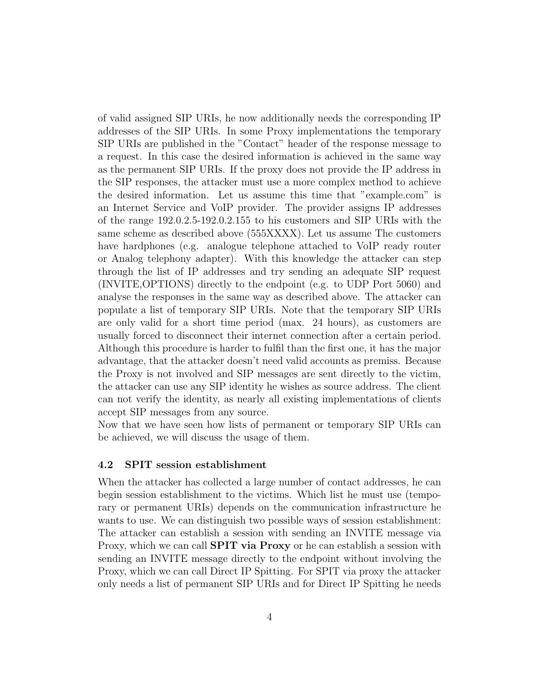of valid assigned SIP URIs, he now additionally needs the corresponding IP addresses of the SIP URIs. In some Proxy implementations the temporary SIP URIs are published in the "Contact" header of the response message to a request. In this case the desired information is achieved in the same way as the permanent SIP URIs. If the proxy does not provide the IP address in the SIP responses, the attacker must use a more complex method to achieve the desired information. Let us assume this time that "example.com" is an Internet Service and VoIP provider. The provider assigns IP addresses of the range 192.0.2.5-192.0.2.155 to his customers and SIP URIs with the same scheme as described above (555XXXX). Let us assume The customers have hardphones (e.g. analogue telephone attached to VoIP ready router or Analog telephony adapter). With this knowledge the attacker can step through the list of IP addresses and try sending an adequate SIP request (INVITE,OPTIONS) directly to the endpoint (e.g. to UDP Port 5060) and analyse the responses in the same way as described above. The attacker can populate a list of temporary SIP URIs. Note that the temporary SIP URIs are only valid for a short time period (max. 24 hours), as customers are usually forced to disconnect their internet connection after a certain period. Although this procedure is harder to fulfil than the first one, it has the major advantage, that the attacker doesn't need valid accounts as premiss. Because the Proxy is not involved and SIP messages are sent directly to the victim, the attacker can use any SIP identity he wishes as source address. The client can not verify the identity, as nearly all existing implementations of clients accept SIP messages from any source.

Now that we have seen how lists of permanent or temporary SIP URIs can be achieved, we will discuss the usage of them.

### 4.2 SPIT session establishment

When the attacker has collected a large number of contact addresses, he can begin session establishment to the victims. Which list he must use (temporary or permanent URIs) depends on the communication infrastructure he wants to use. We can distinguish two possible ways of session establishment: The attacker can establish a session with sending an INVITE message via Proxy, which we can call **SPIT** via **Proxy** or he can establish a session with sending an INVITE message directly to the endpoint without involving the Proxy, which we can call Direct IP Spitting. For SPIT via proxy the attacker only needs a list of permanent SIP URIs and for Direct IP Spitting he needs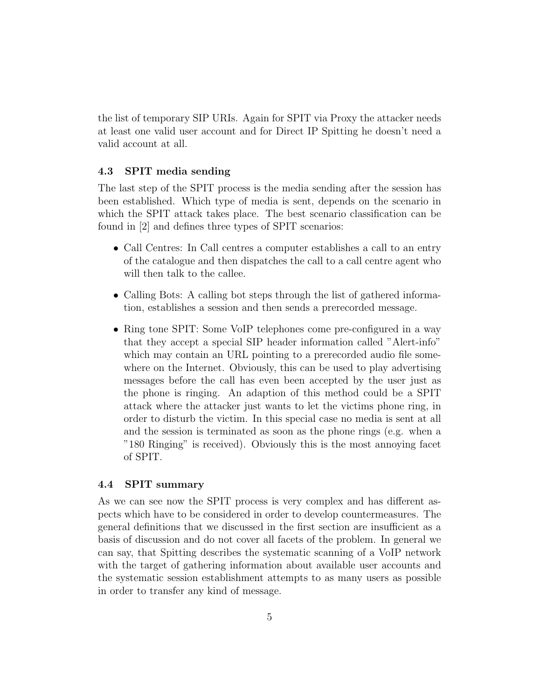the list of temporary SIP URIs. Again for SPIT via Proxy the attacker needs at least one valid user account and for Direct IP Spitting he doesn't need a valid account at all.

## 4.3 SPIT media sending

The last step of the SPIT process is the media sending after the session has been established. Which type of media is sent, depends on the scenario in which the SPIT attack takes place. The best scenario classification can be found in [2] and defines three types of SPIT scenarios:

- Call Centres: In Call centres a computer establishes a call to an entry of the catalogue and then dispatches the call to a call centre agent who will then talk to the callee.
- Calling Bots: A calling bot steps through the list of gathered information, establishes a session and then sends a prerecorded message.
- Ring tone SPIT: Some VoIP telephones come pre-configured in a way that they accept a special SIP header information called "Alert-info" which may contain an URL pointing to a prerecorded audio file somewhere on the Internet. Obviously, this can be used to play advertising messages before the call has even been accepted by the user just as the phone is ringing. An adaption of this method could be a SPIT attack where the attacker just wants to let the victims phone ring, in order to disturb the victim. In this special case no media is sent at all and the session is terminated as soon as the phone rings (e.g. when a "180 Ringing" is received). Obviously this is the most annoying facet of SPIT.

### 4.4 SPIT summary

As we can see now the SPIT process is very complex and has different aspects which have to be considered in order to develop countermeasures. The general definitions that we discussed in the first section are insufficient as a basis of discussion and do not cover all facets of the problem. In general we can say, that Spitting describes the systematic scanning of a VoIP network with the target of gathering information about available user accounts and the systematic session establishment attempts to as many users as possible in order to transfer any kind of message.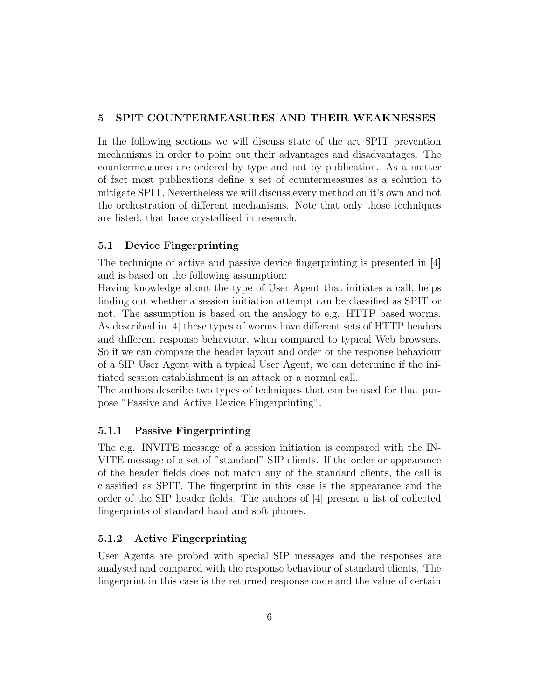# 5 SPIT COUNTERMEASURES AND THEIR WEAKNESSES

In the following sections we will discuss state of the art SPIT prevention mechanisms in order to point out their advantages and disadvantages. The countermeasures are ordered by type and not by publication. As a matter of fact most publications define a set of countermeasures as a solution to mitigate SPIT. Nevertheless we will discuss every method on it's own and not the orchestration of different mechanisms. Note that only those techniques are listed, that have crystallised in research.

# 5.1 Device Fingerprinting

The technique of active and passive device fingerprinting is presented in [4] and is based on the following assumption:

Having knowledge about the type of User Agent that initiates a call, helps finding out whether a session initiation attempt can be classified as SPIT or not. The assumption is based on the analogy to e.g. HTTP based worms. As described in [4] these types of worms have different sets of HTTP headers and different response behaviour, when compared to typical Web browsers. So if we can compare the header layout and order or the response behaviour of a SIP User Agent with a typical User Agent, we can determine if the initiated session establishment is an attack or a normal call.

The authors describe two types of techniques that can be used for that purpose "Passive and Active Device Fingerprinting".

# 5.1.1 Passive Fingerprinting

The e.g. INVITE message of a session initiation is compared with the IN-VITE message of a set of "standard" SIP clients. If the order or appearance of the header fields does not match any of the standard clients, the call is classified as SPIT. The fingerprint in this case is the appearance and the order of the SIP header fields. The authors of [4] present a list of collected fingerprints of standard hard and soft phones.

### 5.1.2 Active Fingerprinting

User Agents are probed with special SIP messages and the responses are analysed and compared with the response behaviour of standard clients. The fingerprint in this case is the returned response code and the value of certain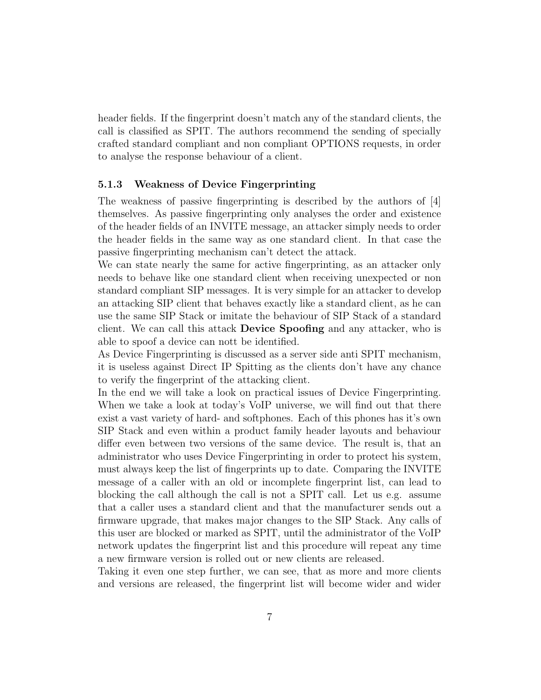header fields. If the fingerprint doesn't match any of the standard clients, the call is classified as SPIT. The authors recommend the sending of specially crafted standard compliant and non compliant OPTIONS requests, in order to analyse the response behaviour of a client.

### 5.1.3 Weakness of Device Fingerprinting

The weakness of passive fingerprinting is described by the authors of [4] themselves. As passive fingerprinting only analyses the order and existence of the header fields of an INVITE message, an attacker simply needs to order the header fields in the same way as one standard client. In that case the passive fingerprinting mechanism can't detect the attack.

We can state nearly the same for active fingerprinting, as an attacker only needs to behave like one standard client when receiving unexpected or non standard compliant SIP messages. It is very simple for an attacker to develop an attacking SIP client that behaves exactly like a standard client, as he can use the same SIP Stack or imitate the behaviour of SIP Stack of a standard client. We can call this attack Device Spoofing and any attacker, who is able to spoof a device can nott be identified.

As Device Fingerprinting is discussed as a server side anti SPIT mechanism, it is useless against Direct IP Spitting as the clients don't have any chance to verify the fingerprint of the attacking client.

In the end we will take a look on practical issues of Device Fingerprinting. When we take a look at today's VoIP universe, we will find out that there exist a vast variety of hard- and softphones. Each of this phones has it's own SIP Stack and even within a product family header layouts and behaviour differ even between two versions of the same device. The result is, that an administrator who uses Device Fingerprinting in order to protect his system, must always keep the list of fingerprints up to date. Comparing the INVITE message of a caller with an old or incomplete fingerprint list, can lead to blocking the call although the call is not a SPIT call. Let us e.g. assume that a caller uses a standard client and that the manufacturer sends out a firmware upgrade, that makes major changes to the SIP Stack. Any calls of this user are blocked or marked as SPIT, until the administrator of the VoIP network updates the fingerprint list and this procedure will repeat any time a new firmware version is rolled out or new clients are released.

Taking it even one step further, we can see, that as more and more clients and versions are released, the fingerprint list will become wider and wider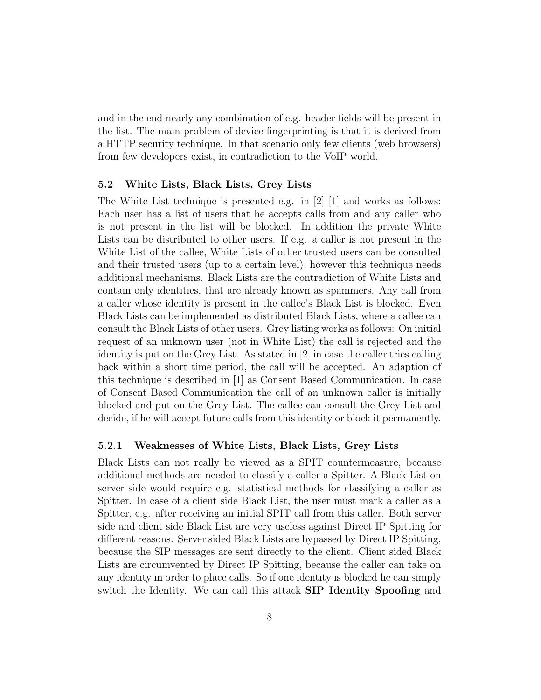and in the end nearly any combination of e.g. header fields will be present in the list. The main problem of device fingerprinting is that it is derived from a HTTP security technique. In that scenario only few clients (web browsers) from few developers exist, in contradiction to the VoIP world.

#### 5.2 White Lists, Black Lists, Grey Lists

The White List technique is presented e.g. in [2] [1] and works as follows: Each user has a list of users that he accepts calls from and any caller who is not present in the list will be blocked. In addition the private White Lists can be distributed to other users. If e.g. a caller is not present in the White List of the callee, White Lists of other trusted users can be consulted and their trusted users (up to a certain level), however this technique needs additional mechanisms. Black Lists are the contradiction of White Lists and contain only identities, that are already known as spammers. Any call from a caller whose identity is present in the callee's Black List is blocked. Even Black Lists can be implemented as distributed Black Lists, where a callee can consult the Black Lists of other users. Grey listing works as follows: On initial request of an unknown user (not in White List) the call is rejected and the identity is put on the Grey List. As stated in [2] in case the caller tries calling back within a short time period, the call will be accepted. An adaption of this technique is described in [1] as Consent Based Communication. In case of Consent Based Communication the call of an unknown caller is initially blocked and put on the Grey List. The callee can consult the Grey List and decide, if he will accept future calls from this identity or block it permanently.

#### 5.2.1 Weaknesses of White Lists, Black Lists, Grey Lists

Black Lists can not really be viewed as a SPIT countermeasure, because additional methods are needed to classify a caller a Spitter. A Black List on server side would require e.g. statistical methods for classifying a caller as Spitter. In case of a client side Black List, the user must mark a caller as a Spitter, e.g. after receiving an initial SPIT call from this caller. Both server side and client side Black List are very useless against Direct IP Spitting for different reasons. Server sided Black Lists are bypassed by Direct IP Spitting, because the SIP messages are sent directly to the client. Client sided Black Lists are circumvented by Direct IP Spitting, because the caller can take on any identity in order to place calls. So if one identity is blocked he can simply switch the Identity. We can call this attack SIP Identity Spoofing and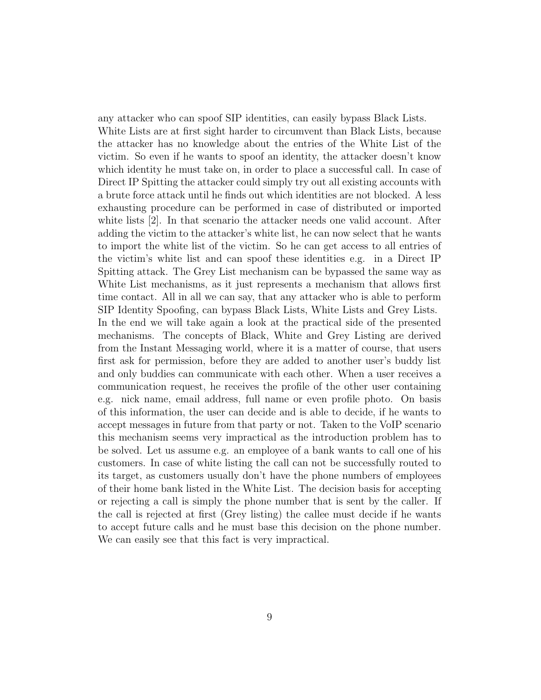any attacker who can spoof SIP identities, can easily bypass Black Lists. White Lists are at first sight harder to circumvent than Black Lists, because the attacker has no knowledge about the entries of the White List of the victim. So even if he wants to spoof an identity, the attacker doesn't know which identity he must take on, in order to place a successful call. In case of Direct IP Spitting the attacker could simply try out all existing accounts with a brute force attack until he finds out which identities are not blocked. A less exhausting procedure can be performed in case of distributed or imported white lists [2]. In that scenario the attacker needs one valid account. After adding the victim to the attacker's white list, he can now select that he wants to import the white list of the victim. So he can get access to all entries of the victim's white list and can spoof these identities e.g. in a Direct IP Spitting attack. The Grey List mechanism can be bypassed the same way as White List mechanisms, as it just represents a mechanism that allows first time contact. All in all we can say, that any attacker who is able to perform SIP Identity Spoofing, can bypass Black Lists, White Lists and Grey Lists. In the end we will take again a look at the practical side of the presented mechanisms. The concepts of Black, White and Grey Listing are derived from the Instant Messaging world, where it is a matter of course, that users first ask for permission, before they are added to another user's buddy list and only buddies can communicate with each other. When a user receives a communication request, he receives the profile of the other user containing e.g. nick name, email address, full name or even profile photo. On basis of this information, the user can decide and is able to decide, if he wants to accept messages in future from that party or not. Taken to the VoIP scenario this mechanism seems very impractical as the introduction problem has to be solved. Let us assume e.g. an employee of a bank wants to call one of his customers. In case of white listing the call can not be successfully routed to its target, as customers usually don't have the phone numbers of employees of their home bank listed in the White List. The decision basis for accepting or rejecting a call is simply the phone number that is sent by the caller. If the call is rejected at first (Grey listing) the callee must decide if he wants to accept future calls and he must base this decision on the phone number. We can easily see that this fact is very impractical.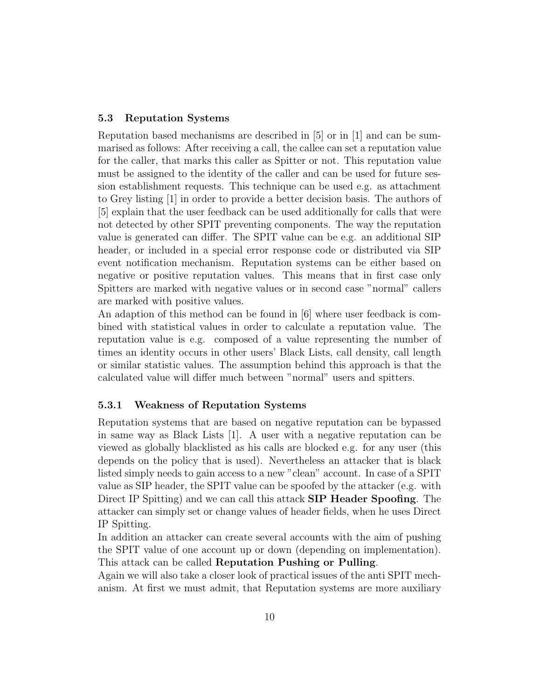### 5.3 Reputation Systems

Reputation based mechanisms are described in [5] or in [1] and can be summarised as follows: After receiving a call, the callee can set a reputation value for the caller, that marks this caller as Spitter or not. This reputation value must be assigned to the identity of the caller and can be used for future session establishment requests. This technique can be used e.g. as attachment to Grey listing [1] in order to provide a better decision basis. The authors of [5] explain that the user feedback can be used additionally for calls that were not detected by other SPIT preventing components. The way the reputation value is generated can differ. The SPIT value can be e.g. an additional SIP header, or included in a special error response code or distributed via SIP event notification mechanism. Reputation systems can be either based on negative or positive reputation values. This means that in first case only Spitters are marked with negative values or in second case "normal" callers are marked with positive values.

An adaption of this method can be found in [6] where user feedback is combined with statistical values in order to calculate a reputation value. The reputation value is e.g. composed of a value representing the number of times an identity occurs in other users' Black Lists, call density, call length or similar statistic values. The assumption behind this approach is that the calculated value will differ much between "normal" users and spitters.

## 5.3.1 Weakness of Reputation Systems

Reputation systems that are based on negative reputation can be bypassed in same way as Black Lists [1]. A user with a negative reputation can be viewed as globally blacklisted as his calls are blocked e.g. for any user (this depends on the policy that is used). Nevertheless an attacker that is black listed simply needs to gain access to a new "clean" account. In case of a SPIT value as SIP header, the SPIT value can be spoofed by the attacker (e.g. with Direct IP Spitting) and we can call this attack SIP Header Spoofing. The attacker can simply set or change values of header fields, when he uses Direct IP Spitting.

In addition an attacker can create several accounts with the aim of pushing the SPIT value of one account up or down (depending on implementation). This attack can be called Reputation Pushing or Pulling.

Again we will also take a closer look of practical issues of the anti SPIT mechanism. At first we must admit, that Reputation systems are more auxiliary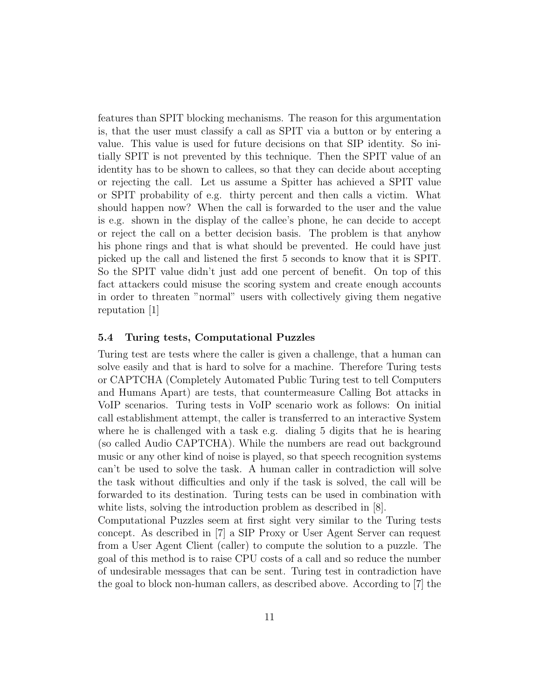features than SPIT blocking mechanisms. The reason for this argumentation is, that the user must classify a call as SPIT via a button or by entering a value. This value is used for future decisions on that SIP identity. So initially SPIT is not prevented by this technique. Then the SPIT value of an identity has to be shown to callees, so that they can decide about accepting or rejecting the call. Let us assume a Spitter has achieved a SPIT value or SPIT probability of e.g. thirty percent and then calls a victim. What should happen now? When the call is forwarded to the user and the value is e.g. shown in the display of the callee's phone, he can decide to accept or reject the call on a better decision basis. The problem is that anyhow his phone rings and that is what should be prevented. He could have just picked up the call and listened the first 5 seconds to know that it is SPIT. So the SPIT value didn't just add one percent of benefit. On top of this fact attackers could misuse the scoring system and create enough accounts in order to threaten "normal" users with collectively giving them negative reputation [1]

### 5.4 Turing tests, Computational Puzzles

Turing test are tests where the caller is given a challenge, that a human can solve easily and that is hard to solve for a machine. Therefore Turing tests or CAPTCHA (Completely Automated Public Turing test to tell Computers and Humans Apart) are tests, that countermeasure Calling Bot attacks in VoIP scenarios. Turing tests in VoIP scenario work as follows: On initial call establishment attempt, the caller is transferred to an interactive System where he is challenged with a task e.g. dialing 5 digits that he is hearing (so called Audio CAPTCHA). While the numbers are read out background music or any other kind of noise is played, so that speech recognition systems can't be used to solve the task. A human caller in contradiction will solve the task without difficulties and only if the task is solved, the call will be forwarded to its destination. Turing tests can be used in combination with white lists, solving the introduction problem as described in [8].

Computational Puzzles seem at first sight very similar to the Turing tests concept. As described in [7] a SIP Proxy or User Agent Server can request from a User Agent Client (caller) to compute the solution to a puzzle. The goal of this method is to raise CPU costs of a call and so reduce the number of undesirable messages that can be sent. Turing test in contradiction have the goal to block non-human callers, as described above. According to [7] the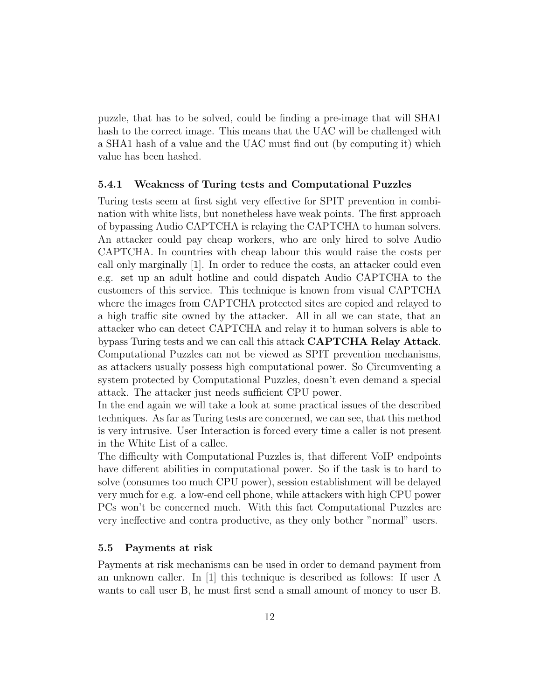puzzle, that has to be solved, could be finding a pre-image that will SHA1 hash to the correct image. This means that the UAC will be challenged with a SHA1 hash of a value and the UAC must find out (by computing it) which value has been hashed.

#### 5.4.1 Weakness of Turing tests and Computational Puzzles

Turing tests seem at first sight very effective for SPIT prevention in combination with white lists, but nonetheless have weak points. The first approach of bypassing Audio CAPTCHA is relaying the CAPTCHA to human solvers. An attacker could pay cheap workers, who are only hired to solve Audio CAPTCHA. In countries with cheap labour this would raise the costs per call only marginally [1]. In order to reduce the costs, an attacker could even e.g. set up an adult hotline and could dispatch Audio CAPTCHA to the customers of this service. This technique is known from visual CAPTCHA where the images from CAPTCHA protected sites are copied and relayed to a high traffic site owned by the attacker. All in all we can state, that an attacker who can detect CAPTCHA and relay it to human solvers is able to bypass Turing tests and we can call this attack CAPTCHA Relay Attack. Computational Puzzles can not be viewed as SPIT prevention mechanisms, as attackers usually possess high computational power. So Circumventing a system protected by Computational Puzzles, doesn't even demand a special attack. The attacker just needs sufficient CPU power.

In the end again we will take a look at some practical issues of the described techniques. As far as Turing tests are concerned, we can see, that this method is very intrusive. User Interaction is forced every time a caller is not present in the White List of a callee.

The difficulty with Computational Puzzles is, that different VoIP endpoints have different abilities in computational power. So if the task is to hard to solve (consumes too much CPU power), session establishment will be delayed very much for e.g. a low-end cell phone, while attackers with high CPU power PCs won't be concerned much. With this fact Computational Puzzles are very ineffective and contra productive, as they only bother "normal" users.

#### 5.5 Payments at risk

Payments at risk mechanisms can be used in order to demand payment from an unknown caller. In [1] this technique is described as follows: If user A wants to call user B, he must first send a small amount of money to user B.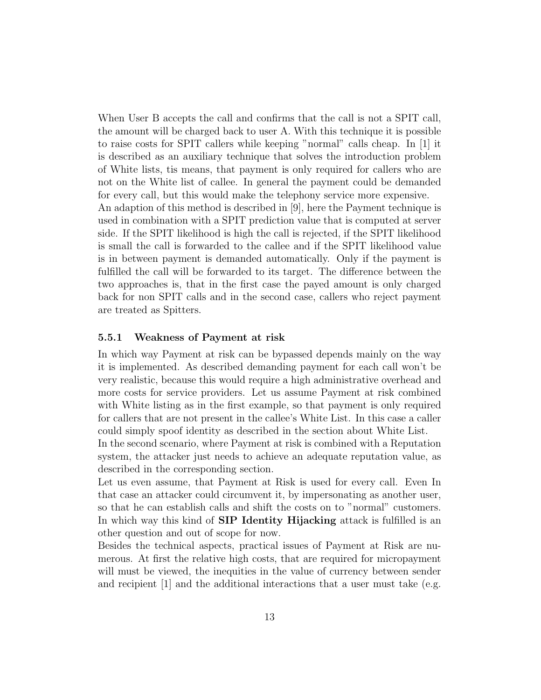When User B accepts the call and confirms that the call is not a SPIT call, the amount will be charged back to user A. With this technique it is possible to raise costs for SPIT callers while keeping "normal" calls cheap. In [1] it is described as an auxiliary technique that solves the introduction problem of White lists, tis means, that payment is only required for callers who are not on the White list of callee. In general the payment could be demanded for every call, but this would make the telephony service more expensive. An adaption of this method is described in [9], here the Payment technique is used in combination with a SPIT prediction value that is computed at server side. If the SPIT likelihood is high the call is rejected, if the SPIT likelihood is small the call is forwarded to the callee and if the SPIT likelihood value is in between payment is demanded automatically. Only if the payment is fulfilled the call will be forwarded to its target. The difference between the two approaches is, that in the first case the payed amount is only charged back for non SPIT calls and in the second case, callers who reject payment are treated as Spitters.

#### 5.5.1 Weakness of Payment at risk

In which way Payment at risk can be bypassed depends mainly on the way it is implemented. As described demanding payment for each call won't be very realistic, because this would require a high administrative overhead and more costs for service providers. Let us assume Payment at risk combined with White listing as in the first example, so that payment is only required for callers that are not present in the callee's White List. In this case a caller could simply spoof identity as described in the section about White List.

In the second scenario, where Payment at risk is combined with a Reputation system, the attacker just needs to achieve an adequate reputation value, as described in the corresponding section.

Let us even assume, that Payment at Risk is used for every call. Even In that case an attacker could circumvent it, by impersonating as another user, so that he can establish calls and shift the costs on to "normal" customers. In which way this kind of **SIP Identity Hijacking** attack is fulfilled is an other question and out of scope for now.

Besides the technical aspects, practical issues of Payment at Risk are numerous. At first the relative high costs, that are required for micropayment will must be viewed, the inequities in the value of currency between sender and recipient [1] and the additional interactions that a user must take (e.g.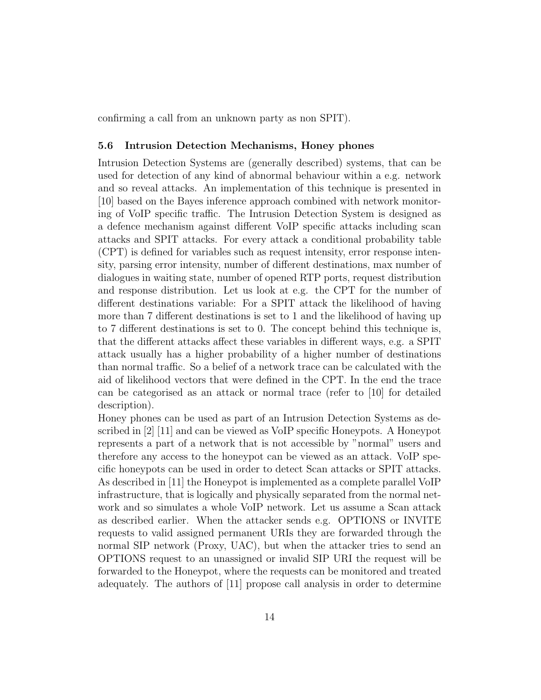confirming a call from an unknown party as non SPIT).

### 5.6 Intrusion Detection Mechanisms, Honey phones

Intrusion Detection Systems are (generally described) systems, that can be used for detection of any kind of abnormal behaviour within a e.g. network and so reveal attacks. An implementation of this technique is presented in [10] based on the Bayes inference approach combined with network monitoring of VoIP specific traffic. The Intrusion Detection System is designed as a defence mechanism against different VoIP specific attacks including scan attacks and SPIT attacks. For every attack a conditional probability table (CPT) is defined for variables such as request intensity, error response intensity, parsing error intensity, number of different destinations, max number of dialogues in waiting state, number of opened RTP ports, request distribution and response distribution. Let us look at e.g. the CPT for the number of different destinations variable: For a SPIT attack the likelihood of having more than 7 different destinations is set to 1 and the likelihood of having up to 7 different destinations is set to 0. The concept behind this technique is, that the different attacks affect these variables in different ways, e.g. a SPIT attack usually has a higher probability of a higher number of destinations than normal traffic. So a belief of a network trace can be calculated with the aid of likelihood vectors that were defined in the CPT. In the end the trace can be categorised as an attack or normal trace (refer to [10] for detailed description).

Honey phones can be used as part of an Intrusion Detection Systems as described in [2] [11] and can be viewed as VoIP specific Honeypots. A Honeypot represents a part of a network that is not accessible by "normal" users and therefore any access to the honeypot can be viewed as an attack. VoIP specific honeypots can be used in order to detect Scan attacks or SPIT attacks. As described in [11] the Honeypot is implemented as a complete parallel VoIP infrastructure, that is logically and physically separated from the normal network and so simulates a whole VoIP network. Let us assume a Scan attack as described earlier. When the attacker sends e.g. OPTIONS or INVITE requests to valid assigned permanent URIs they are forwarded through the normal SIP network (Proxy, UAC), but when the attacker tries to send an OPTIONS request to an unassigned or invalid SIP URI the request will be forwarded to the Honeypot, where the requests can be monitored and treated adequately. The authors of [11] propose call analysis in order to determine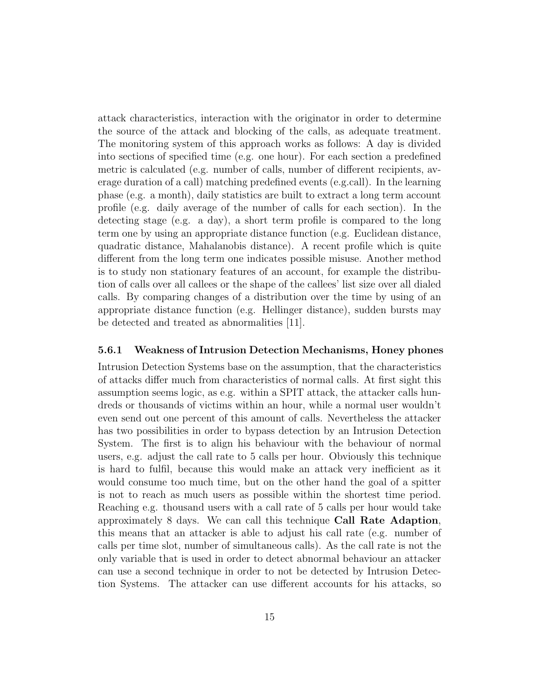attack characteristics, interaction with the originator in order to determine the source of the attack and blocking of the calls, as adequate treatment. The monitoring system of this approach works as follows: A day is divided into sections of specified time (e.g. one hour). For each section a predefined metric is calculated (e.g. number of calls, number of different recipients, average duration of a call) matching predefined events (e.g.call). In the learning phase (e.g. a month), daily statistics are built to extract a long term account profile (e.g. daily average of the number of calls for each section). In the detecting stage (e.g. a day), a short term profile is compared to the long term one by using an appropriate distance function (e.g. Euclidean distance, quadratic distance, Mahalanobis distance). A recent profile which is quite different from the long term one indicates possible misuse. Another method is to study non stationary features of an account, for example the distribution of calls over all callees or the shape of the callees' list size over all dialed calls. By comparing changes of a distribution over the time by using of an appropriate distance function (e.g. Hellinger distance), sudden bursts may be detected and treated as abnormalities [11].

#### 5.6.1 Weakness of Intrusion Detection Mechanisms, Honey phones

Intrusion Detection Systems base on the assumption, that the characteristics of attacks differ much from characteristics of normal calls. At first sight this assumption seems logic, as e.g. within a SPIT attack, the attacker calls hundreds or thousands of victims within an hour, while a normal user wouldn't even send out one percent of this amount of calls. Nevertheless the attacker has two possibilities in order to bypass detection by an Intrusion Detection System. The first is to align his behaviour with the behaviour of normal users, e.g. adjust the call rate to 5 calls per hour. Obviously this technique is hard to fulfil, because this would make an attack very inefficient as it would consume too much time, but on the other hand the goal of a spitter is not to reach as much users as possible within the shortest time period. Reaching e.g. thousand users with a call rate of 5 calls per hour would take approximately 8 days. We can call this technique Call Rate Adaption, this means that an attacker is able to adjust his call rate (e.g. number of calls per time slot, number of simultaneous calls). As the call rate is not the only variable that is used in order to detect abnormal behaviour an attacker can use a second technique in order to not be detected by Intrusion Detection Systems. The attacker can use different accounts for his attacks, so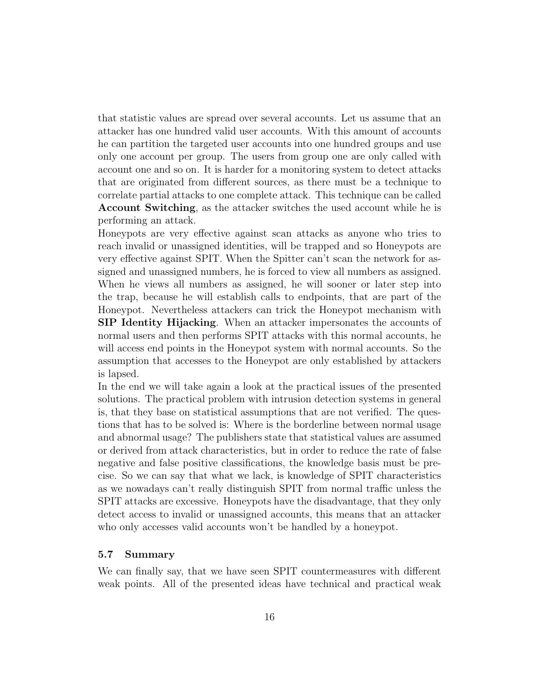that statistic values are spread over several accounts. Let us assume that an attacker has one hundred valid user accounts. With this amount of accounts he can partition the targeted user accounts into one hundred groups and use only one account per group. The users from group one are only called with account one and so on. It is harder for a monitoring system to detect attacks that are originated from different sources, as there must be a technique to correlate partial attacks to one complete attack. This technique can be called Account Switching, as the attacker switches the used account while he is performing an attack.

Honeypots are very effective against scan attacks as anyone who tries to reach invalid or unassigned identities, will be trapped and so Honeypots are very effective against SPIT. When the Spitter can't scan the network for assigned and unassigned numbers, he is forced to view all numbers as assigned. When he views all numbers as assigned, he will sooner or later step into the trap, because he will establish calls to endpoints, that are part of the Honeypot. Nevertheless attackers can trick the Honeypot mechanism with SIP Identity Hijacking. When an attacker impersonates the accounts of normal users and then performs SPIT attacks with this normal accounts, he will access end points in the Honeypot system with normal accounts. So the assumption that accesses to the Honeypot are only established by attackers is lapsed.

In the end we will take again a look at the practical issues of the presented solutions. The practical problem with intrusion detection systems in general is, that they base on statistical assumptions that are not verified. The questions that has to be solved is: Where is the borderline between normal usage and abnormal usage? The publishers state that statistical values are assumed or derived from attack characteristics, but in order to reduce the rate of false negative and false positive classifications, the knowledge basis must be precise. So we can say that what we lack, is knowledge of SPIT characteristics as we nowadays can't really distinguish SPIT from normal traffic unless the SPIT attacks are excessive. Honeypots have the disadvantage, that they only detect access to invalid or unassigned accounts, this means that an attacker who only accesses valid accounts won't be handled by a honeypot.

## 5.7 Summary

We can finally say, that we have seen SPIT countermeasures with different weak points. All of the presented ideas have technical and practical weak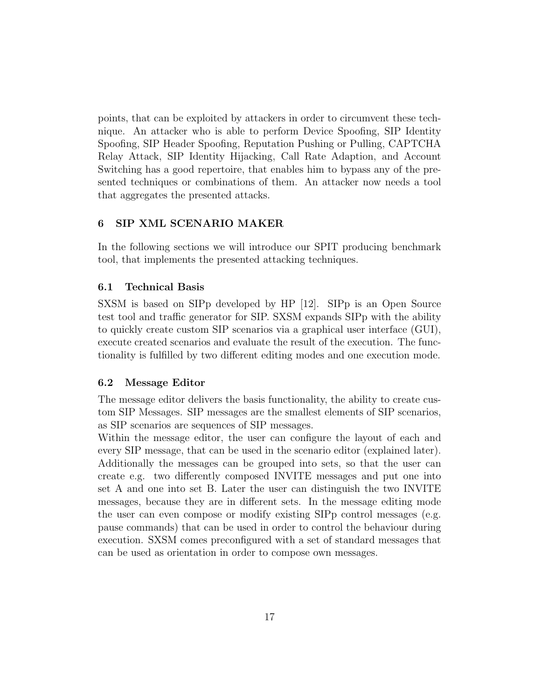points, that can be exploited by attackers in order to circumvent these technique. An attacker who is able to perform Device Spoofing, SIP Identity Spoofing, SIP Header Spoofing, Reputation Pushing or Pulling, CAPTCHA Relay Attack, SIP Identity Hijacking, Call Rate Adaption, and Account Switching has a good repertoire, that enables him to bypass any of the presented techniques or combinations of them. An attacker now needs a tool that aggregates the presented attacks.

## 6 SIP XML SCENARIO MAKER

In the following sections we will introduce our SPIT producing benchmark tool, that implements the presented attacking techniques.

### 6.1 Technical Basis

SXSM is based on SIPp developed by HP [12]. SIPp is an Open Source test tool and traffic generator for SIP. SXSM expands SIPp with the ability to quickly create custom SIP scenarios via a graphical user interface (GUI), execute created scenarios and evaluate the result of the execution. The functionality is fulfilled by two different editing modes and one execution mode.

### 6.2 Message Editor

The message editor delivers the basis functionality, the ability to create custom SIP Messages. SIP messages are the smallest elements of SIP scenarios, as SIP scenarios are sequences of SIP messages.

Within the message editor, the user can configure the layout of each and every SIP message, that can be used in the scenario editor (explained later). Additionally the messages can be grouped into sets, so that the user can create e.g. two differently composed INVITE messages and put one into set A and one into set B. Later the user can distinguish the two INVITE messages, because they are in different sets. In the message editing mode the user can even compose or modify existing SIPp control messages (e.g. pause commands) that can be used in order to control the behaviour during execution. SXSM comes preconfigured with a set of standard messages that can be used as orientation in order to compose own messages.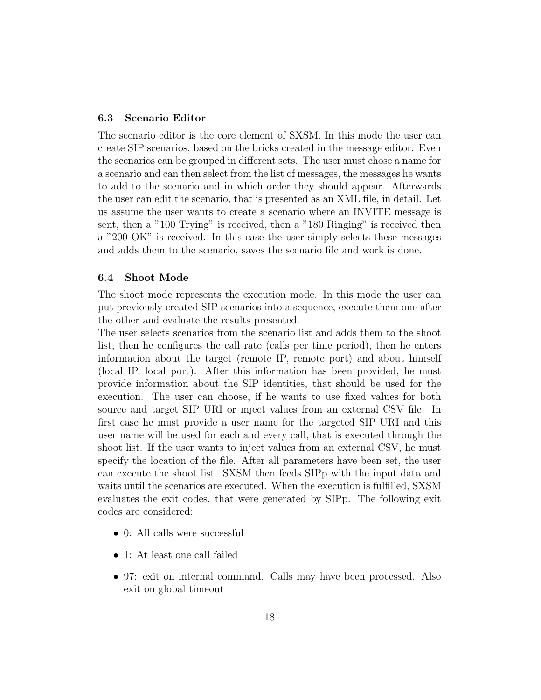### 6.3 Scenario Editor

The scenario editor is the core element of SXSM. In this mode the user can create SIP scenarios, based on the bricks created in the message editor. Even the scenarios can be grouped in different sets. The user must chose a name for a scenario and can then select from the list of messages, the messages he wants to add to the scenario and in which order they should appear. Afterwards the user can edit the scenario, that is presented as an XML file, in detail. Let us assume the user wants to create a scenario where an INVITE message is sent, then a "100 Trying" is received, then a "180 Ringing" is received then a "200 OK" is received. In this case the user simply selects these messages and adds them to the scenario, saves the scenario file and work is done.

#### 6.4 Shoot Mode

The shoot mode represents the execution mode. In this mode the user can put previously created SIP scenarios into a sequence, execute them one after the other and evaluate the results presented.

The user selects scenarios from the scenario list and adds them to the shoot list, then he configures the call rate (calls per time period), then he enters information about the target (remote IP, remote port) and about himself (local IP, local port). After this information has been provided, he must provide information about the SIP identities, that should be used for the execution. The user can choose, if he wants to use fixed values for both source and target SIP URI or inject values from an external CSV file. In first case he must provide a user name for the targeted SIP URI and this user name will be used for each and every call, that is executed through the shoot list. If the user wants to inject values from an external CSV, he must specify the location of the file. After all parameters have been set, the user can execute the shoot list. SXSM then feeds SIPp with the input data and waits until the scenarios are executed. When the execution is fulfilled, SXSM evaluates the exit codes, that were generated by SIPp. The following exit codes are considered:

- 0: All calls were successful
- 1: At least one call failed
- 97: exit on internal command. Calls may have been processed. Also exit on global timeout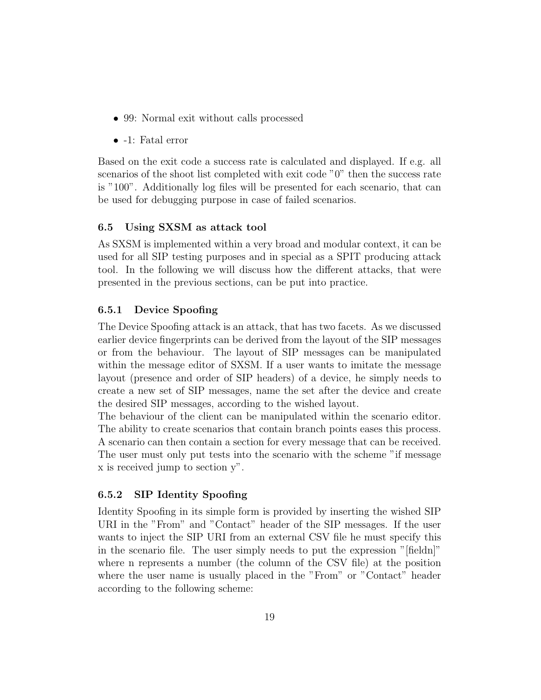- 99: Normal exit without calls processed
- -1: Fatal error

Based on the exit code a success rate is calculated and displayed. If e.g. all scenarios of the shoot list completed with exit code "0" then the success rate is "100". Additionally log files will be presented for each scenario, that can be used for debugging purpose in case of failed scenarios.

# 6.5 Using SXSM as attack tool

As SXSM is implemented within a very broad and modular context, it can be used for all SIP testing purposes and in special as a SPIT producing attack tool. In the following we will discuss how the different attacks, that were presented in the previous sections, can be put into practice.

# 6.5.1 Device Spoofing

The Device Spoofing attack is an attack, that has two facets. As we discussed earlier device fingerprints can be derived from the layout of the SIP messages or from the behaviour. The layout of SIP messages can be manipulated within the message editor of SXSM. If a user wants to imitate the message layout (presence and order of SIP headers) of a device, he simply needs to create a new set of SIP messages, name the set after the device and create the desired SIP messages, according to the wished layout.

The behaviour of the client can be manipulated within the scenario editor. The ability to create scenarios that contain branch points eases this process. A scenario can then contain a section for every message that can be received. The user must only put tests into the scenario with the scheme "if message x is received jump to section y".

# 6.5.2 SIP Identity Spoofing

Identity Spoofing in its simple form is provided by inserting the wished SIP URI in the "From" and "Contact" header of the SIP messages. If the user wants to inject the SIP URI from an external CSV file he must specify this in the scenario file. The user simply needs to put the expression "[fieldn]" where n represents a number (the column of the CSV file) at the position where the user name is usually placed in the "From" or "Contact" header according to the following scheme: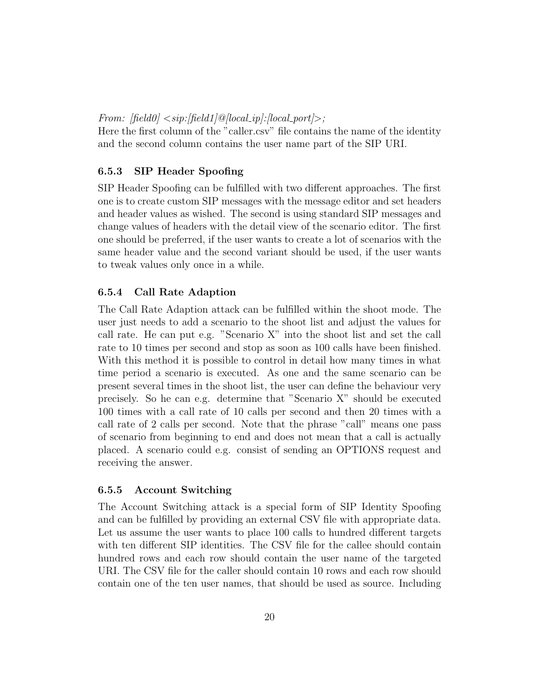From:  $[\text{field}0] \leq sip: [\text{field}1] \otimes [\text{local}_p] \cdot [\text{local}_p]$ 

Here the first column of the "caller.csv" file contains the name of the identity and the second column contains the user name part of the SIP URI.

## 6.5.3 SIP Header Spoofing

SIP Header Spoofing can be fulfilled with two different approaches. The first one is to create custom SIP messages with the message editor and set headers and header values as wished. The second is using standard SIP messages and change values of headers with the detail view of the scenario editor. The first one should be preferred, if the user wants to create a lot of scenarios with the same header value and the second variant should be used, if the user wants to tweak values only once in a while.

## 6.5.4 Call Rate Adaption

The Call Rate Adaption attack can be fulfilled within the shoot mode. The user just needs to add a scenario to the shoot list and adjust the values for call rate. He can put e.g. "Scenario X" into the shoot list and set the call rate to 10 times per second and stop as soon as 100 calls have been finished. With this method it is possible to control in detail how many times in what time period a scenario is executed. As one and the same scenario can be present several times in the shoot list, the user can define the behaviour very precisely. So he can e.g. determine that "Scenario X" should be executed 100 times with a call rate of 10 calls per second and then 20 times with a call rate of 2 calls per second. Note that the phrase "call" means one pass of scenario from beginning to end and does not mean that a call is actually placed. A scenario could e.g. consist of sending an OPTIONS request and receiving the answer.

## 6.5.5 Account Switching

The Account Switching attack is a special form of SIP Identity Spoofing and can be fulfilled by providing an external CSV file with appropriate data. Let us assume the user wants to place 100 calls to hundred different targets with ten different SIP identities. The CSV file for the callee should contain hundred rows and each row should contain the user name of the targeted URI. The CSV file for the caller should contain 10 rows and each row should contain one of the ten user names, that should be used as source. Including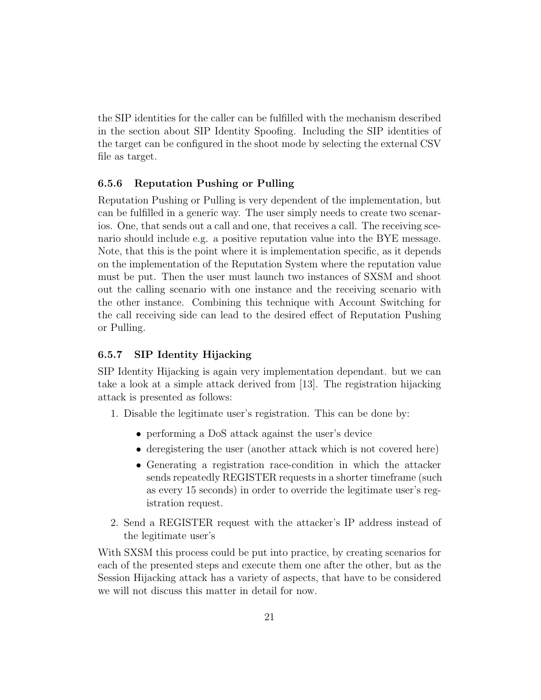the SIP identities for the caller can be fulfilled with the mechanism described in the section about SIP Identity Spoofing. Including the SIP identities of the target can be configured in the shoot mode by selecting the external CSV file as target.

# 6.5.6 Reputation Pushing or Pulling

Reputation Pushing or Pulling is very dependent of the implementation, but can be fulfilled in a generic way. The user simply needs to create two scenarios. One, that sends out a call and one, that receives a call. The receiving scenario should include e.g. a positive reputation value into the BYE message. Note, that this is the point where it is implementation specific, as it depends on the implementation of the Reputation System where the reputation value must be put. Then the user must launch two instances of SXSM and shoot out the calling scenario with one instance and the receiving scenario with the other instance. Combining this technique with Account Switching for the call receiving side can lead to the desired effect of Reputation Pushing or Pulling.

# 6.5.7 SIP Identity Hijacking

SIP Identity Hijacking is again very implementation dependant. but we can take a look at a simple attack derived from [13]. The registration hijacking attack is presented as follows:

- 1. Disable the legitimate user's registration. This can be done by:
	- performing a DoS attack against the user's device
	- deregistering the user (another attack which is not covered here)
	- Generating a registration race-condition in which the attacker sends repeatedly REGISTER requests in a shorter timeframe (such as every 15 seconds) in order to override the legitimate user's registration request.
- 2. Send a REGISTER request with the attacker's IP address instead of the legitimate user's

With SXSM this process could be put into practice, by creating scenarios for each of the presented steps and execute them one after the other, but as the Session Hijacking attack has a variety of aspects, that have to be considered we will not discuss this matter in detail for now.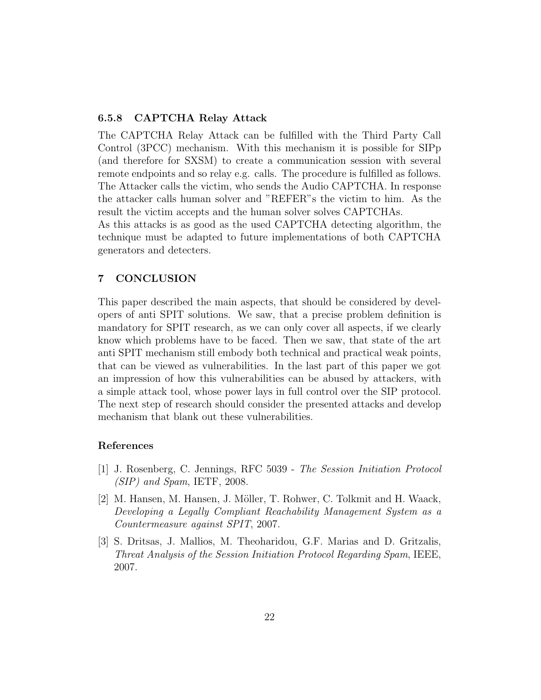### 6.5.8 CAPTCHA Relay Attack

The CAPTCHA Relay Attack can be fulfilled with the Third Party Call Control (3PCC) mechanism. With this mechanism it is possible for SIPp (and therefore for SXSM) to create a communication session with several remote endpoints and so relay e.g. calls. The procedure is fulfilled as follows. The Attacker calls the victim, who sends the Audio CAPTCHA. In response the attacker calls human solver and "REFER"s the victim to him. As the result the victim accepts and the human solver solves CAPTCHAs.

As this attacks is as good as the used CAPTCHA detecting algorithm, the technique must be adapted to future implementations of both CAPTCHA generators and detecters.

## 7 CONCLUSION

This paper described the main aspects, that should be considered by developers of anti SPIT solutions. We saw, that a precise problem definition is mandatory for SPIT research, as we can only cover all aspects, if we clearly know which problems have to be faced. Then we saw, that state of the art anti SPIT mechanism still embody both technical and practical weak points, that can be viewed as vulnerabilities. In the last part of this paper we got an impression of how this vulnerabilities can be abused by attackers, with a simple attack tool, whose power lays in full control over the SIP protocol. The next step of research should consider the presented attacks and develop mechanism that blank out these vulnerabilities.

### References

- [1] J. Rosenberg, C. Jennings, RFC 5039 The Session Initiation Protocol (SIP) and Spam, IETF, 2008.
- [2] M. Hansen, M. Hansen, J. M¨oller, T. Rohwer, C. Tolkmit and H. Waack, Developing a Legally Compliant Reachability Management System as a Countermeasure against SPIT, 2007.
- [3] S. Dritsas, J. Mallios, M. Theoharidou, G.F. Marias and D. Gritzalis, Threat Analysis of the Session Initiation Protocol Regarding Spam, IEEE, 2007.